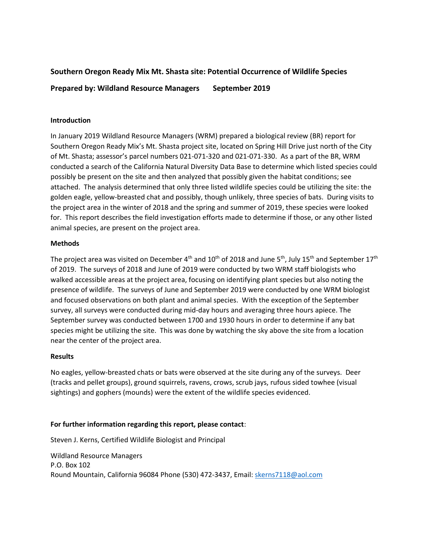# **Southern Oregon Ready Mix Mt. Shasta site: Potential Occurrence of Wildlife Species**

**Prepared by: Wildland Resource Managers September 2019**

# **Introduction**

In January 2019 Wildland Resource Managers (WRM) prepared a biological review (BR) report for Southern Oregon Ready Mix's Mt. Shasta project site, located on Spring Hill Drive just north of the City of Mt. Shasta; assessor's parcel numbers 021-071-320 and 021-071-330. As a part of the BR, WRM conducted a search of the California Natural Diversity Data Base to determine which listed species could possibly be present on the site and then analyzed that possibly given the habitat conditions; see attached. The analysis determined that only three listed wildlife species could be utilizing the site: the golden eagle, yellow-breasted chat and possibly, though unlikely, three species of bats. During visits to the project area in the winter of 2018 and the spring and summer of 2019, these species were looked for. This report describes the field investigation efforts made to determine if those, or any other listed animal species, are present on the project area.

#### **Methods**

The project area was visited on December 4<sup>th</sup> and 10<sup>th</sup> of 2018 and June 5<sup>th</sup>, July 15<sup>th</sup> and September 17<sup>th</sup> of 2019. The surveys of 2018 and June of 2019 were conducted by two WRM staff biologists who walked accessible areas at the project area, focusing on identifying plant species but also noting the presence of wildlife. The surveys of June and September 2019 were conducted by one WRM biologist and focused observations on both plant and animal species. With the exception of the September survey, all surveys were conducted during mid-day hours and averaging three hours apiece. The September survey was conducted between 1700 and 1930 hours in order to determine if any bat species might be utilizing the site. This was done by watching the sky above the site from a location near the center of the project area.

# **Results**

No eagles, yellow-breasted chats or bats were observed at the site during any of the surveys. Deer (tracks and pellet groups), ground squirrels, ravens, crows, scrub jays, rufous sided towhee (visual sightings) and gophers (mounds) were the extent of the wildlife species evidenced.

# **For further information regarding this report, please contact**:

Steven J. Kerns, Certified Wildlife Biologist and Principal

Wildland Resource Managers P.O. Box 102 Round Mountain, California 96084 Phone (530) 472-3437, Email: [skerns7118@aol.com](mailto:skerns7118@aol.com)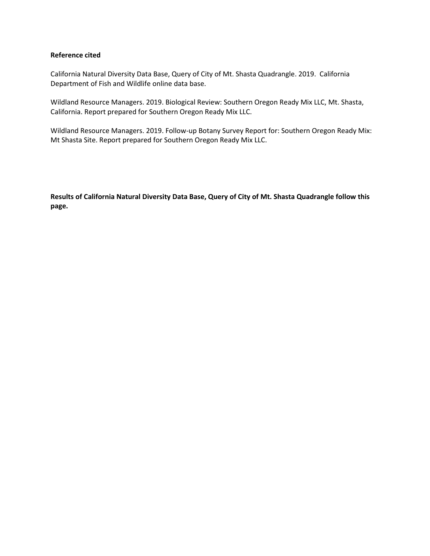#### **Reference cited**

California Natural Diversity Data Base, Query of City of Mt. Shasta Quadrangle. 2019. California Department of Fish and Wildlife online data base.

Wildland Resource Managers. 2019. Biological Review: Southern Oregon Ready Mix LLC, Mt. Shasta, California. Report prepared for Southern Oregon Ready Mix LLC.

Wildland Resource Managers. 2019. Follow-up Botany Survey Report for: Southern Oregon Ready Mix: Mt Shasta Site. Report prepared for Southern Oregon Ready Mix LLC.

**Results of California Natural Diversity Data Base, Query of City of Mt. Shasta Quadrangle follow this page.**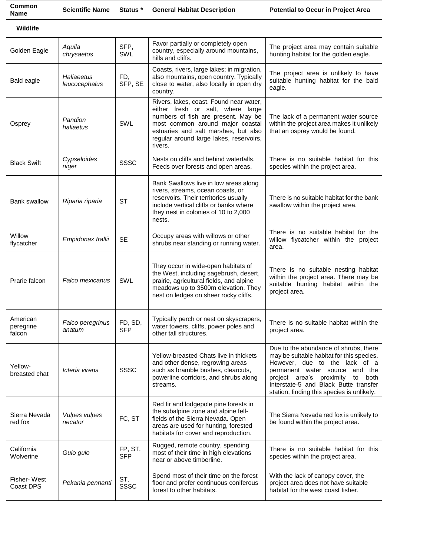| Common<br><b>Name</b> | <b>Scientific Name</b>      | Status *       | <b>General Habitat Description</b>                                                                                                                                                                                                                    | <b>Potential to Occur in Project Area</b>                                                                           |
|-----------------------|-----------------------------|----------------|-------------------------------------------------------------------------------------------------------------------------------------------------------------------------------------------------------------------------------------------------------|---------------------------------------------------------------------------------------------------------------------|
| Wildlife              |                             |                |                                                                                                                                                                                                                                                       |                                                                                                                     |
| Golden Eagle          | Aquila<br>chrysaetos        | SFP,<br>SWL    | Favor partially or completely open<br>country, especially around mountains,<br>hills and cliffs.                                                                                                                                                      | The project area may contain suitable<br>hunting habitat for the golden eagle.                                      |
| Bald eagle            | Haliaeetus<br>leucocephalus | FD,<br>SFP, SE | Coasts, rivers, large lakes; in migration,<br>also mountains, open country. Typically<br>close to water, also locally in open dry<br>country.                                                                                                         | The project area is unlikely to have<br>suitable hunting habitat for the bald<br>eagle.                             |
| Osprey                | Pandion<br>haliaetus        | <b>SWL</b>     | Rivers, lakes, coast. Found near water,<br>either fresh or salt, where large<br>numbers of fish are present. May be<br>most common around major coastal<br>estuaries and salt marshes, but also<br>regular around large lakes, reservoirs,<br>rivers. | The lack of a permanent water source<br>within the project area makes it unlikely<br>that an osprey would be found. |
| <b>Black Swift</b>    | Cypseloides<br>niger        | SSSC           | Nests on cliffs and behind waterfalls.<br>Feeds over forests and open areas.                                                                                                                                                                          | There is no suitable habitat for this<br>species within the project area.                                           |
| <b>Bank swallow</b>   | Riparia riparia             | <b>ST</b>      | Bank Swallows live in low areas along<br>rivers, streams, ocean coasts, or<br>reservoirs. Their territories usually<br>include vertical cliffs or banks where<br>they nest in colonies of 10 to 2,000<br>nests.                                       | There is no suitable habitat for the bank<br>swallow within the project area.                                       |

There is no suitable habitat for the

| Willow<br>flycatcher            | Empidonax trallii          | <b>SE</b>             | Occupy areas with willows or other<br>shrubs near standing or running water.                                                                                                                              | There is no suitable habitat for the<br>willow flycatcher within the project<br>area.                                                                                                                                                                                            |
|---------------------------------|----------------------------|-----------------------|-----------------------------------------------------------------------------------------------------------------------------------------------------------------------------------------------------------|----------------------------------------------------------------------------------------------------------------------------------------------------------------------------------------------------------------------------------------------------------------------------------|
| Prarie falcon                   | Falco mexicanus            | SWL                   | They occur in wide-open habitats of<br>the West, including sagebrush, desert,<br>prairie, agricultural fields, and alpine<br>meadows up to 3500m elevation. They<br>nest on ledges on sheer rocky cliffs. | There is no suitable nesting habitat<br>within the project area. There may be<br>suitable hunting habitat within the<br>project area.                                                                                                                                            |
| American<br>peregrine<br>falcon | Falco peregrinus<br>anatum | FD, SD,<br><b>SFP</b> | Typically perch or nest on skyscrapers,<br>water towers, cliffs, power poles and<br>other tall structures.                                                                                                | There is no suitable habitat within the<br>project area.                                                                                                                                                                                                                         |
| Yellow-<br>breasted chat        | Icteria virens             | <b>SSSC</b>           | Yellow-breasted Chats live in thickets<br>and other dense, regrowing areas<br>such as bramble bushes, clearcuts,<br>powerline corridors, and shrubs along<br>streams.                                     | Due to the abundance of shrubs, there<br>may be suitable habitat for this species.<br>However, due to the lack of a<br>permanent water source and the<br>project area's proximity to both<br>Interstate-5 and Black Butte transfer<br>station, finding this species is unlikely. |
| Sierra Nevada<br>red fox        | Vulpes vulpes<br>necator   | FC, ST                | Red fir and lodgepole pine forests in<br>the subalpine zone and alpine fell-<br>fields of the Sierra Nevada. Open<br>areas are used for hunting, forested<br>habitats for cover and reproduction.         | The Sierra Nevada red fox is unlikely to<br>be found within the project area.                                                                                                                                                                                                    |
| California<br>Wolverine         | Gulo gulo                  | FP, ST,<br><b>SFP</b> | Rugged, remote country, spending<br>most of their time in high elevations<br>near or above timberline.                                                                                                    | There is no suitable habitat for this<br>species within the project area.                                                                                                                                                                                                        |
| Fisher-West<br>Coast DPS        | Pekania pennanti           | ST,<br>SSSC           | Spend most of their time on the forest<br>floor and prefer continuous coniferous<br>forest to other habitats.                                                                                             | With the lack of canopy cover, the<br>project area does not have suitable<br>habitat for the west coast fisher.                                                                                                                                                                  |
|                                 |                            |                       |                                                                                                                                                                                                           |                                                                                                                                                                                                                                                                                  |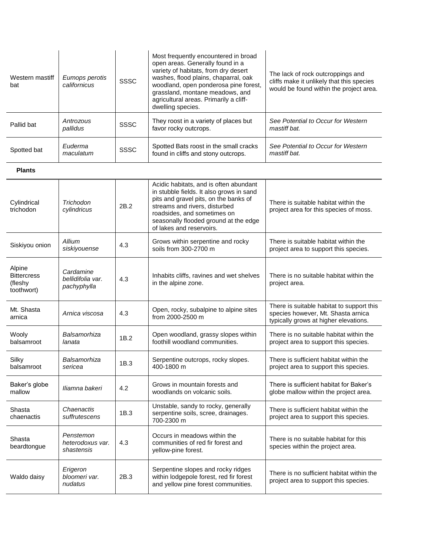| Western mastiff<br>bat                                | Eumops perotis<br>californicus                | <b>SSSC</b> | Most frequently encountered in broad<br>open areas. Generally found in a<br>variety of habitats, from dry desert<br>washes, flood plains, chaparral, oak<br>woodland, open ponderosa pine forest,<br>grassland, montane meadows, and<br>agricultural areas. Primarily a cliff-<br>dwelling species. | The lack of rock outcroppings and<br>cliffs make it unlikely that this species<br>would be found within the project area. |
|-------------------------------------------------------|-----------------------------------------------|-------------|-----------------------------------------------------------------------------------------------------------------------------------------------------------------------------------------------------------------------------------------------------------------------------------------------------|---------------------------------------------------------------------------------------------------------------------------|
| Pallid bat                                            | Antrozous<br>pallidus                         | <b>SSSC</b> | They roost in a variety of places but<br>favor rocky outcrops.                                                                                                                                                                                                                                      | See Potential to Occur for Western<br>mastiff bat.                                                                        |
| Spotted bat                                           | Euderma<br>maculatum                          | <b>SSSC</b> | Spotted Bats roost in the small cracks<br>found in cliffs and stony outcrops.                                                                                                                                                                                                                       | See Potential to Occur for Western<br>mastiff bat.                                                                        |
| <b>Plants</b>                                         |                                               |             |                                                                                                                                                                                                                                                                                                     |                                                                                                                           |
| Cylindrical<br>trichodon                              | Trichodon<br>cylindricus                      | 2B.2        | Acidic habitats, and is often abundant<br>in stubble fields. It also grows in sand<br>pits and gravel pits, on the banks of<br>streams and rivers, disturbed<br>roadsides, and sometimes on<br>seasonally flooded ground at the edge<br>of lakes and reservoirs.                                    | There is suitable habitat within the<br>project area for this species of moss.                                            |
| Siskiyou onion                                        | Allium<br>siskiyouense                        | 4.3         | Grows within serpentine and rocky<br>soils from 300-2700 m                                                                                                                                                                                                                                          | There is suitable habitat within the<br>project area to support this species.                                             |
| Alpine<br><b>Bittercress</b><br>(fleshy<br>toothwort) | Cardamine<br>bellidifolia var.<br>pachyphylla | 4.3         | Inhabits cliffs, ravines and wet shelves<br>in the alpine zone.                                                                                                                                                                                                                                     | There is no suitable habitat within the<br>project area.                                                                  |
| Mt. Shasta<br>arnica                                  | Arnica viscosa                                | 4.3         | Open, rocky, subalpine to alpine sites<br>from 2000-2500 m                                                                                                                                                                                                                                          | There is suitable habitat to support this<br>species however, Mt. Shasta arnica<br>typically grows at higher elevations.  |
| Wooly<br>balsamroot                                   | Balsamorhiza<br>lanata                        | 1B.2        | Open woodland, grassy slopes within<br>foothill woodland communities.                                                                                                                                                                                                                               | There is no suitable habitat within the<br>project area to support this species.                                          |
| Silky<br>balsamroot                                   | Balsamorhiza<br>sericea                       | 1B.3        | Serpentine outcrops, rocky slopes.<br>400-1800 m                                                                                                                                                                                                                                                    | There is sufficient habitat within the<br>project area to support this species.                                           |
| Baker's globe<br>mallow                               | Iliamna bakeri                                | 4.2         | Grows in mountain forests and<br>woodlands on volcanic soils.                                                                                                                                                                                                                                       | There is sufficient habitat for Baker's<br>globe mallow within the project area.                                          |
| Shasta<br>chaenactis                                  | Chaenactis<br>suffrutescens                   | 1B.3        | Unstable, sandy to rocky, generally<br>serpentine soils, scree, drainages.<br>700-2300 m                                                                                                                                                                                                            | There is sufficient habitat within the<br>project area to support this species.                                           |
| Shasta<br>beardtongue                                 | Penstemon<br>heterodoxus var.<br>shastensis   | 4.3         | Occurs in meadows within the<br>communities of red fir forest and<br>yellow-pine forest.                                                                                                                                                                                                            | There is no suitable habitat for this<br>species within the project area.                                                 |
| Waldo daisy                                           | Erigeron<br>bloomeri var.<br>nudatus          | 2B.3        | Serpentine slopes and rocky ridges<br>within lodgepole forest, red fir forest<br>and yellow pine forest communities.                                                                                                                                                                                | There is no sufficient habitat within the<br>project area to support this species.                                        |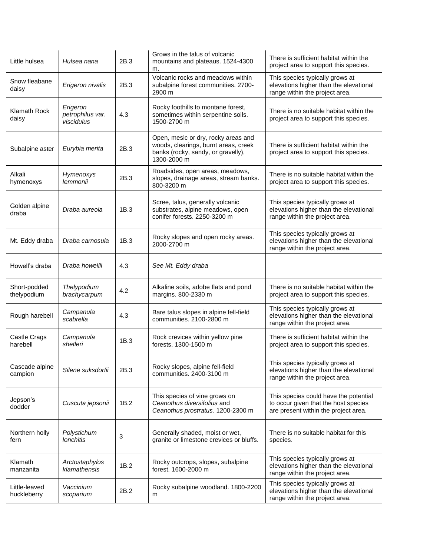| Little hulsea                | Hulsea nana                                | 2B.3 | Grows in the talus of volcanic<br>mountains and plateaus. 1524-4300<br>m.                                                        | There is sufficient habitat within the<br>project area to support this species.                                       |
|------------------------------|--------------------------------------------|------|----------------------------------------------------------------------------------------------------------------------------------|-----------------------------------------------------------------------------------------------------------------------|
| Snow fleabane<br>daisy       | Erigeron nivalis                           | 2B.3 | Volcanic rocks and meadows within<br>subalpine forest communities. 2700-<br>2900 m                                               | This species typically grows at<br>elevations higher than the elevational<br>range within the project area.           |
| Klamath Rock<br>daisy        | Erigeron<br>petrophilus var.<br>viscidulus | 4.3  | Rocky foothills to montane forest,<br>sometimes within serpentine soils.<br>1500-2700 m                                          | There is no suitable habitat within the<br>project area to support this species.                                      |
| Subalpine aster              | Eurybia merita                             | 2B.3 | Open, mesic or dry, rocky areas and<br>woods, clearings, burnt areas, creek<br>banks (rocky, sandy, or gravelly),<br>1300-2000 m | There is sufficient habitat within the<br>project area to support this species.                                       |
| Alkali<br>hymenoxys          | Hymenoxys<br>lemmonii                      | 2B.3 | Roadsides, open areas, meadows,<br>slopes, drainage areas, stream banks.<br>800-3200 m                                           | There is no suitable habitat within the<br>project area to support this species.                                      |
| Golden alpine<br>draba       | Draba aureola                              | 1B.3 | Scree, talus, generally volcanic<br>substrates, alpine meadows, open<br>conifer forests. 2250-3200 m                             | This species typically grows at<br>elevations higher than the elevational<br>range within the project area.           |
| Mt. Eddy draba               | Draba carnosula                            | 1B.3 | Rocky slopes and open rocky areas.<br>2000-2700 m                                                                                | This species typically grows at<br>elevations higher than the elevational<br>range within the project area.           |
| Howell's draba               | Draba howellii                             | 4.3  | See Mt. Eddy draba                                                                                                               |                                                                                                                       |
| Short-podded<br>thelypodium  | Thelypodium<br>brachycarpum                | 4.2  | Alkaline soils, adobe flats and pond<br>margins. 800-2330 m                                                                      | There is no suitable habitat within the<br>project area to support this species.                                      |
| Rough harebell               | Campanula<br>scabrella                     | 4.3  | Bare talus slopes in alpine fell-field<br>communities. 2100-2800 m                                                               | This species typically grows at<br>elevations higher than the elevational<br>range within the project area.           |
| Castle Crags<br>harebell     | Campanula<br>shetleri                      | 1B.3 | Rock crevices within yellow pine<br>forests, 1300-1500 m                                                                         | There is sufficient habitat within the<br>project area to support this species.                                       |
| Cascade alpine<br>campion    | Silene suksdorfii                          | 2B.3 | Rocky slopes, alpine fell-field<br>communities. 2400-3100 m                                                                      | This species typically grows at<br>elevations higher than the elevational<br>range within the project area.           |
| Jepson's<br>dodder           | Cuscuta jepsonii                           | 1B.2 | This species of vine grows on<br>Ceanothus diversifolius and<br>Ceanothus prostratus. 1200-2300 m                                | This species could have the potential<br>to occur given that the host species<br>are present within the project area. |
| Northern holly<br>fern       | Polystichum<br><b>lonchitis</b>            | 3    | Generally shaded, moist or wet,<br>granite or limestone crevices or bluffs.                                                      | There is no suitable habitat for this<br>species.                                                                     |
| Klamath<br>manzanita         | Arctostaphylos<br>klamathensis             | 1B.2 | Rocky outcrops, slopes, subalpine<br>forest. 1600-2000 m                                                                         | This species typically grows at<br>elevations higher than the elevational<br>range within the project area.           |
| Little-leaved<br>huckleberry | Vaccinium<br>scoparium                     | 2B.2 | Rocky subalpine woodland. 1800-2200<br>m                                                                                         | This species typically grows at<br>elevations higher than the elevational<br>range within the project area.           |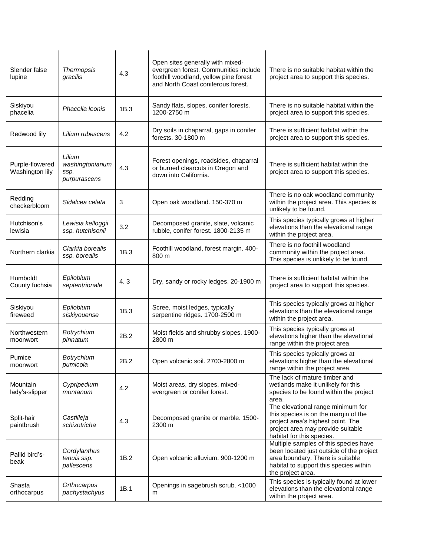| Slender false<br>lupine            | Thermopsis<br>gracilis                            | 4.3  | Open sites generally with mixed-<br>evergreen forest. Communities include<br>foothill woodland, yellow pine forest<br>and North Coast coniferous forest. | There is no suitable habitat within the<br>project area to support this species.                                                                                                     |
|------------------------------------|---------------------------------------------------|------|----------------------------------------------------------------------------------------------------------------------------------------------------------|--------------------------------------------------------------------------------------------------------------------------------------------------------------------------------------|
| Siskiyou<br>phacelia               | Phacelia leonis                                   | 1B.3 | Sandy flats, slopes, conifer forests.<br>1200-2750 m                                                                                                     | There is no suitable habitat within the<br>project area to support this species.                                                                                                     |
| Redwood lily                       | Lilium rubescens                                  | 4.2  | Dry soils in chaparral, gaps in conifer<br>forests. 30-1800 m                                                                                            | There is sufficient habitat within the<br>project area to support this species.                                                                                                      |
| Purple-flowered<br>Washington lily | Lilium<br>washingtonianum<br>ssp.<br>purpurascens | 4.3  | Forest openings, roadsides, chaparral<br>or burned clearcuts in Oregon and<br>down into California.                                                      | There is sufficient habitat within the<br>project area to support this species.                                                                                                      |
| Redding<br>checkerbloom            | Sidalcea celata                                   | 3    | Open oak woodland. 150-370 m                                                                                                                             | There is no oak woodland community<br>within the project area. This species is<br>unlikely to be found.                                                                              |
| Hutchison's<br>lewisia             | Lewisia kelloggii<br>ssp. hutchisonii             | 3.2  | Decomposed granite, slate, volcanic<br>rubble, conifer forest. 1800-2135 m                                                                               | This species typically grows at higher<br>elevations than the elevational range<br>within the project area.                                                                          |
| Northern clarkia                   | Clarkia borealis<br>ssp. borealis                 | 1B.3 | Foothill woodland, forest margin. 400-<br>800 m                                                                                                          | There is no foothill woodland<br>community within the project area.<br>This species is unlikely to be found.                                                                         |
| <b>Humboldt</b><br>County fuchsia  | Epilobium<br>septentrionale                       | 4.3  | Dry, sandy or rocky ledges. 20-1900 m                                                                                                                    | There is sufficient habitat within the<br>project area to support this species.                                                                                                      |
| Siskiyou<br>fireweed               | Epilobium<br>siskiyouense                         | 1B.3 | Scree, moist ledges, typically<br>serpentine ridges. 1700-2500 m                                                                                         | This species typically grows at higher<br>elevations than the elevational range<br>within the project area.                                                                          |
| Northwestern<br>moonwort           | Botrychium<br>pinnatum                            | 2B.2 | Moist fields and shrubby slopes. 1900-<br>2800 m                                                                                                         | This species typically grows at<br>elevations higher than the elevational<br>range within the project area.                                                                          |
| Pumice<br>moonwort                 | Botrychium<br>pumicola                            | 2B.2 | Open volcanic soil. 2700-2800 m                                                                                                                          | This species typically grows at<br>elevations higher than the elevational<br>range within the project area.                                                                          |
| Mountain<br>lady's-slipper         | Cypripedium<br>montanum                           | 4.2  | Moist areas, dry slopes, mixed-<br>evergreen or conifer forest.                                                                                          | The lack of mature timber and<br>wetlands make it unlikely for this<br>species to be found within the project<br>area.                                                               |
| Split-hair<br>paintbrush           | Castilleja<br>schizotricha                        | 4.3  | Decomposed granite or marble. 1500-<br>2300 m                                                                                                            | The elevational range minimum for<br>this species is on the margin of the<br>project area's highest point. The<br>project area may provide suitable<br>habitat for this species.     |
| Pallid bird's-<br>beak             | Cordylanthus<br>tenuis ssp.<br>pallescens         | 1B.2 | Open volcanic alluvium. 900-1200 m                                                                                                                       | Multiple samples of this species have<br>been located just outside of the project<br>area boundary. There is suitable<br>habitat to support this species within<br>the project area. |
| Shasta<br>orthocarpus              | Orthocarpus<br>pachystachyus                      | 1B.1 | Openings in sagebrush scrub. <1000<br>m                                                                                                                  | This species is typically found at lower<br>elevations than the elevational range<br>within the project area.                                                                        |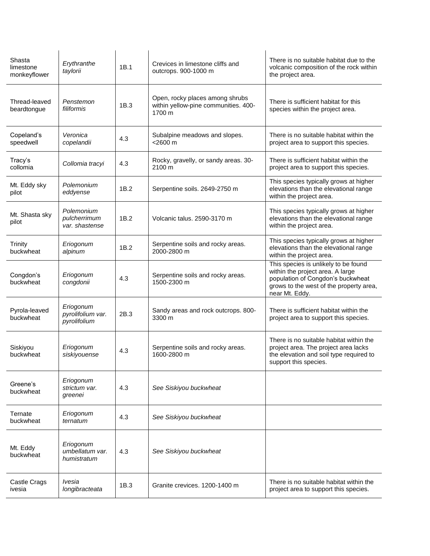| Shasta<br>limestone<br>monkeyflower | Erythranthe<br>taylorii                        | 1B.1 | Crevices in limestone cliffs and<br>outcrops. 900-1000 m                          | There is no suitable habitat due to the<br>volcanic composition of the rock within<br>the project area.                                                                    |
|-------------------------------------|------------------------------------------------|------|-----------------------------------------------------------------------------------|----------------------------------------------------------------------------------------------------------------------------------------------------------------------------|
| Thread-leaved<br>beardtongue        | Penstemon<br>filiformis                        | 1B.3 | Open, rocky places among shrubs<br>within yellow-pine communities. 400-<br>1700 m | There is sufficient habitat for this<br>species within the project area.                                                                                                   |
| Copeland's<br>speedwell             | Veronica<br>copelandii                         | 4.3  | Subalpine meadows and slopes.<br>$<$ 2600 $m$                                     | There is no suitable habitat within the<br>project area to support this species.                                                                                           |
| Tracy's<br>collomia                 | Collomia tracyi                                | 4.3  | Rocky, gravelly, or sandy areas. 30-<br>2100 m                                    | There is sufficient habitat within the<br>project area to support this species.                                                                                            |
| Mt. Eddy sky<br>pilot               | Polemonium<br>eddyense                         | 1B.2 | Serpentine soils. 2649-2750 m                                                     | This species typically grows at higher<br>elevations than the elevational range<br>within the project area.                                                                |
| Mt. Shasta sky<br>pilot             | Polemonium<br>pulcherrimum<br>var, shastense   | 1B.2 | Volcanic talus, 2590-3170 m                                                       | This species typically grows at higher<br>elevations than the elevational range<br>within the project area.                                                                |
| <b>Trinity</b><br>buckwheat         | Eriogonum<br>alpinum                           | 1B.2 | Serpentine soils and rocky areas.<br>2000-2800 m                                  | This species typically grows at higher<br>elevations than the elevational range<br>within the project area.                                                                |
| Congdon's<br>buckwheat              | Eriogonum<br>congdonii                         | 4.3  | Serpentine soils and rocky areas.<br>1500-2300 m                                  | This species is unlikely to be found<br>within the project area. A large<br>population of Congdon's buckwheat<br>grows to the west of the property area,<br>near Mt. Eddy. |
| Pyrola-leaved<br>buckwheat          | Eriogonum<br>pyrolifolium var.<br>pyrolifolium | 2B.3 | Sandy areas and rock outcrops. 800-<br>3300 m                                     | There is sufficient habitat within the<br>project area to support this species.                                                                                            |
| Siskiyou<br>buckwheat               | Eriogonum<br>siskiyouense                      | 4.3  | Serpentine soils and rocky areas.<br>1600-2800 m                                  | There is no suitable habitat within the<br>project area. The project area lacks<br>the elevation and soil type required to<br>support this species.                        |
| Greene's<br>buckwheat               | Eriogonum<br>strictum var.<br>greenei          | 4.3  | See Siskiyou buckwheat                                                            |                                                                                                                                                                            |
| Ternate<br>buckwheat                | Eriogonum<br>ternatum                          | 4.3  | See Siskiyou buckwheat                                                            |                                                                                                                                                                            |
| Mt. Eddy<br>buckwheat               | Eriogonum<br>umbellatum var.<br>humistratum    | 4.3  | See Siskiyou buckwheat                                                            |                                                                                                                                                                            |
| Castle Crags<br>ivesia              | lvesia<br>longibracteata                       | 1B.3 | Granite crevices, 1200-1400 m                                                     | There is no suitable habitat within the<br>project area to support this species.                                                                                           |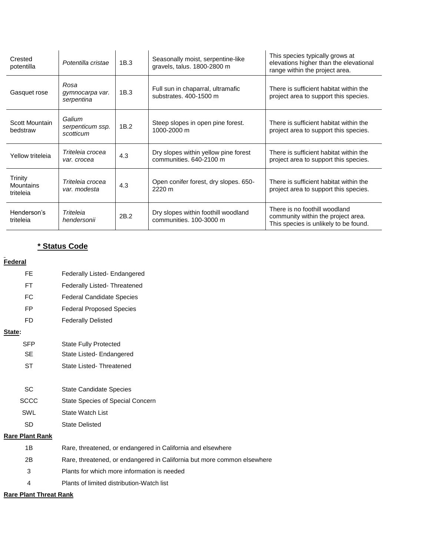| Crested<br>potentilla                    | Potentilla cristae                      | 1B.3 | Seasonally moist, serpentine-like<br>gravels, talus. 1800-2800 m | This species typically grows at<br>elevations higher than the elevational<br>range within the project area.  |
|------------------------------------------|-----------------------------------------|------|------------------------------------------------------------------|--------------------------------------------------------------------------------------------------------------|
| Gasquet rose                             | Rosa<br>gymnocarpa var.<br>serpentina   | 1B.3 | Full sun in chaparral, ultramafic<br>substrates, 400-1500 m      | There is sufficient habitat within the<br>project area to support this species.                              |
| Scott Mountain<br>bedstraw               | Galium<br>serpenticum ssp.<br>scotticum | 1B.2 | Steep slopes in open pine forest.<br>1000-2000 m                 | There is sufficient habitat within the<br>project area to support this species.                              |
| Yellow triteleia                         | Triteleia crocea<br>var. crocea         | 4.3  | Dry slopes within yellow pine forest<br>communities. 640-2100 m  | There is sufficient habitat within the<br>project area to support this species.                              |
| <b>Trinity</b><br>Mountains<br>triteleia | Triteleia crocea<br>var. modesta        | 4.3  | Open conifer forest, dry slopes. 650-<br>2220 m                  | There is sufficient habitat within the<br>project area to support this species.                              |
| Henderson's<br>triteleia                 | Triteleia<br>hendersonii                | 2B.2 | Dry slopes within foothill woodland<br>communities. 100-3000 m   | There is no foothill woodland<br>community within the project area.<br>This species is unlikely to be found. |

# **\* Status Code**

# **Federal**

| - FE |  | Federally Listed- Endangered |
|------|--|------------------------------|
|------|--|------------------------------|

- FT Federally Listed- Threatened
- FC Federal Candidate Species
- FP Federal Proposed Species
- FD Federally Delisted

#### **State:**

- SFP State Fully Protected SE State Listed- Endangered
	- ST State Listed- Threatened
- 
- SC State Candidate Species
- SCCC State Species of Special Concern
- SWL State Watch List
- SD State Delisted

# **Rare Plant Rank**

| 1В | Rare, threatened, or endangered in California and elsewhere             |
|----|-------------------------------------------------------------------------|
| 2B | Rare, threatened, or endangered in California but more common elsewhere |
| 3  | Plants for which more information is needed                             |
| 4  | Plants of limited distribution-Watch list                               |
|    |                                                                         |

**Rare Plant Threat Rank**